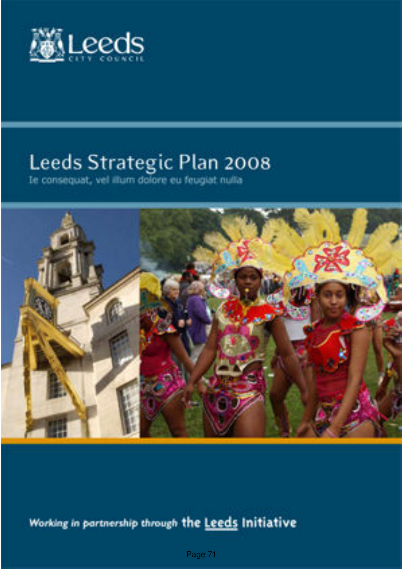

# Leeds Strategic Plan 2008<br>Ie consequat, vel illum dolore eu feugiat nulla



Working in partnership through the Leeds Initiative

Page 71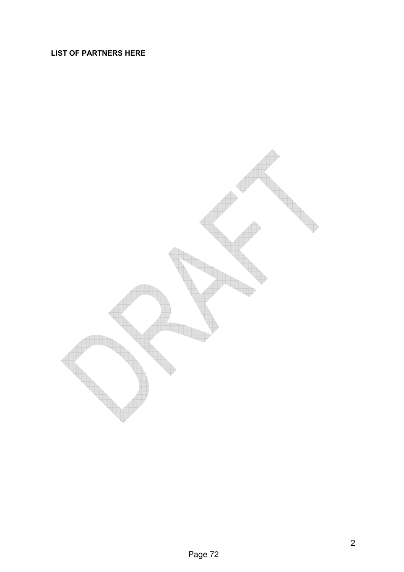#### LIST OF PARTNERS HERE

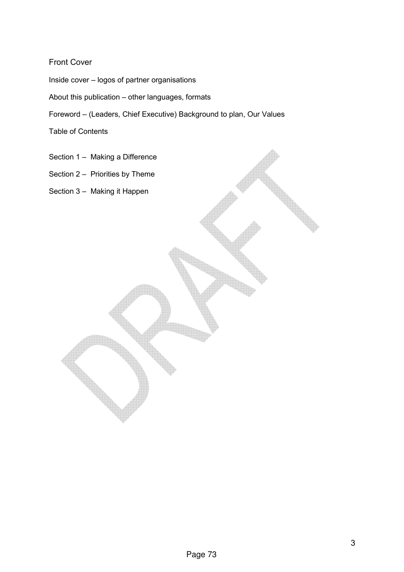#### Front Cover

Inside cover – logos of partner organisations

About this publication – other languages, formats

Foreword – (Leaders, Chief Executive) Background to plan, Our Values

Table of Contents

- Section 1 Making a Difference
- Section 2 Priorities by Theme

Section 3 – Making it Happen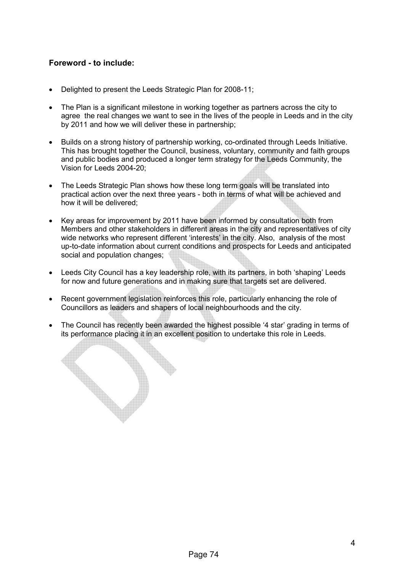#### Foreword - to include:

- Delighted to present the Leeds Strategic Plan for 2008-11;
- The Plan is a significant milestone in working together as partners across the city to agree the real changes we want to see in the lives of the people in Leeds and in the city by 2011 and how we will deliver these in partnership;
- Builds on a strong history of partnership working, co-ordinated through Leeds Initiative. This has brought together the Council, business, voluntary, community and faith groups and public bodies and produced a longer term strategy for the Leeds Community, the Vision for Leeds 2004-20;
- The Leeds Strategic Plan shows how these long term goals will be translated into practical action over the next three years - both in terms of what will be achieved and how it will be delivered;
- Key areas for improvement by 2011 have been informed by consultation both from Members and other stakeholders in different areas in the city and representatives of city wide networks who represent different 'interests' in the city. Also, analysis of the most up-to-date information about current conditions and prospects for Leeds and anticipated social and population changes;
- Leeds City Council has a key leadership role, with its partners, in both 'shaping' Leeds for now and future generations and in making sure that targets set are delivered.
- Recent government legislation reinforces this role, particularly enhancing the role of Councillors as leaders and shapers of local neighbourhoods and the city.
- The Council has recently been awarded the highest possible '4 star' grading in terms of its performance placing it in an excellent position to undertake this role in Leeds.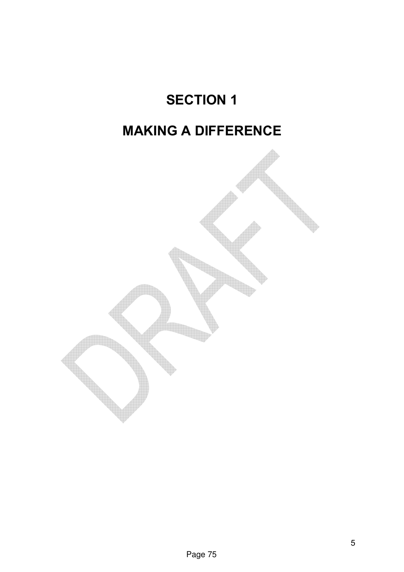### SECTION 1

### MAKING A DIFFERENCE

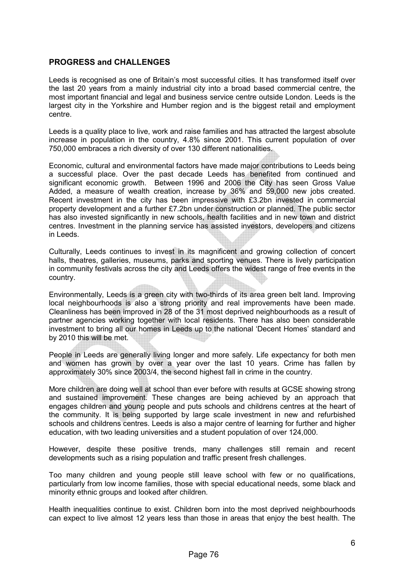#### PROGRESS and CHALLENGES

Leeds is recognised as one of Britain's most successful cities. It has transformed itself over the last 20 years from a mainly industrial city into a broad based commercial centre, the most important financial and legal and business service centre outside London. Leeds is the largest city in the Yorkshire and Humber region and is the biggest retail and employment centre.

Leeds is a quality place to live, work and raise families and has attracted the largest absolute increase in population in the country, 4.8% since 2001. This current population of over 750,000 embraces a rich diversity of over 130 different nationalities.

Economic, cultural and environmental factors have made major contributions to Leeds being a successful place. Over the past decade Leeds has benefited from continued and significant economic growth. Between 1996 and 2006 the City has seen Gross Value Added, a measure of wealth creation, increase by 36% and 59,000 new jobs created. Recent investment in the city has been impressive with £3.2bn invested in commercial property development and a further £7.2bn under construction or planned. The public sector has also invested significantly in new schools, health facilities and in new town and district centres. Investment in the planning service has assisted investors, developers and citizens in Leeds.

Culturally, Leeds continues to invest in its magnificent and growing collection of concert halls, theatres, galleries, museums, parks and sporting venues. There is lively participation in community festivals across the city and Leeds offers the widest range of free events in the country.

Environmentally, Leeds is a green city with two-thirds of its area green belt land. Improving local neighbourhoods is also a strong priority and real improvements have been made. Cleanliness has been improved in 28 of the 31 most deprived neighbourhoods as a result of partner agencies working together with local residents. There has also been considerable investment to bring all our homes in Leeds up to the national 'Decent Homes' standard and by 2010 this will be met.

People in Leeds are generally living longer and more safely. Life expectancy for both men and women has grown by over a year over the last 10 years. Crime has fallen by approximately 30% since 2003/4, the second highest fall in crime in the country.

More children are doing well at school than ever before with results at GCSE showing strong and sustained improvement. These changes are being achieved by an approach that engages children and young people and puts schools and childrens centres at the heart of the community. It is being supported by large scale investment in new and refurbished schools and childrens centres. Leeds is also a major centre of learning for further and higher education, with two leading universities and a student population of over 124,000.

However, despite these positive trends, many challenges still remain and recent developments such as a rising population and traffic present fresh challenges.

Too many children and young people still leave school with few or no qualifications, particularly from low income families, those with special educational needs, some black and minority ethnic groups and looked after children.

Health inequalities continue to exist. Children born into the most deprived neighbourhoods can expect to live almost 12 years less than those in areas that enjoy the best health. The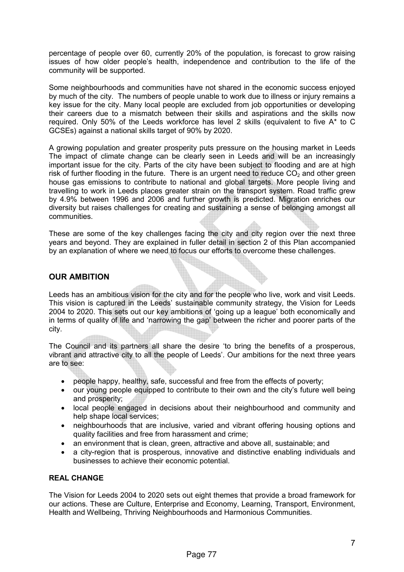percentage of people over 60, currently 20% of the population, is forecast to grow raising issues of how older people's health, independence and contribution to the life of the community will be supported.

Some neighbourhoods and communities have not shared in the economic success enjoyed by much of the city. The numbers of people unable to work due to illness or injury remains a key issue for the city. Many local people are excluded from job opportunities or developing their careers due to a mismatch between their skills and aspirations and the skills now required. Only 50% of the Leeds workforce has level 2 skills (equivalent to five A\* to C GCSEs) against a national skills target of 90% by 2020.

A growing population and greater prosperity puts pressure on the housing market in Leeds The impact of climate change can be clearly seen in Leeds and will be an increasingly important issue for the city. Parts of the city have been subject to flooding and are at high risk of further flooding in the future. There is an urgent need to reduce  $CO<sub>2</sub>$  and other green house gas emissions to contribute to national and global targets. More people living and travelling to work in Leeds places greater strain on the transport system. Road traffic grew by 4.9% between 1996 and 2006 and further growth is predicted. Migration enriches our diversity but raises challenges for creating and sustaining a sense of belonging amongst all communities.

These are some of the key challenges facing the city and city region over the next three years and beyond. They are explained in fuller detail in section 2 of this Plan accompanied by an explanation of where we need to focus our efforts to overcome these challenges.

#### OUR AMBITION

Leeds has an ambitious vision for the city and for the people who live, work and visit Leeds. This vision is captured in the Leeds' sustainable community strategy, the Vision for Leeds 2004 to 2020. This sets out our key ambitions of 'going up a league' both economically and in terms of quality of life and 'narrowing the gap' between the richer and poorer parts of the city.

The Council and its partners all share the desire 'to bring the benefits of a prosperous, vibrant and attractive city to all the people of Leeds'. Our ambitions for the next three years are to see:

- people happy, healthy, safe, successful and free from the effects of poverty;
- our young people equipped to contribute to their own and the city's future well being and prosperity;
- local people engaged in decisions about their neighbourhood and community and help shape local services;
- neighbourhoods that are inclusive, varied and vibrant offering housing options and quality facilities and free from harassment and crime;
- an environment that is clean, green, attractive and above all, sustainable; and
- a city-region that is prosperous, innovative and distinctive enabling individuals and businesses to achieve their economic potential.

#### REAL CHANGE

The Vision for Leeds 2004 to 2020 sets out eight themes that provide a broad framework for our actions. These are Culture, Enterprise and Economy, Learning, Transport, Environment, Health and Wellbeing, Thriving Neighbourhoods and Harmonious Communities.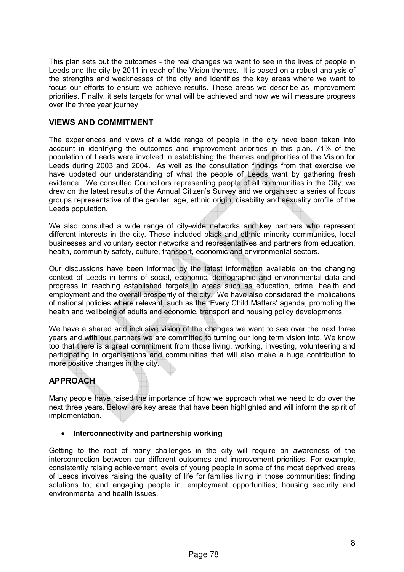This plan sets out the outcomes - the real changes we want to see in the lives of people in Leeds and the city by 2011 in each of the Vision themes. It is based on a robust analysis of the strengths and weaknesses of the city and identifies the key areas where we want to focus our efforts to ensure we achieve results. These areas we describe as improvement priorities. Finally, it sets targets for what will be achieved and how we will measure progress over the three year journey.

#### VIEWS AND COMMITMENT

The experiences and views of a wide range of people in the city have been taken into account in identifying the outcomes and improvement priorities in this plan. 71% of the population of Leeds were involved in establishing the themes and priorities of the Vision for Leeds during 2003 and 2004. As well as the consultation findings from that exercise we have updated our understanding of what the people of Leeds want by gathering fresh evidence. We consulted Councillors representing people of all communities in the City; we drew on the latest results of the Annual Citizen's Survey and we organised a series of focus groups representative of the gender, age, ethnic origin, disability and sexuality profile of the Leeds population.

We also consulted a wide range of city-wide networks and key partners who represent different interests in the city. These included black and ethnic minority communities, local businesses and voluntary sector networks and representatives and partners from education, health, community safety, culture, transport, economic and environmental sectors.

Our discussions have been informed by the latest information available on the changing context of Leeds in terms of social, economic, demographic and environmental data and progress in reaching established targets in areas such as education, crime, health and employment and the overall prosperity of the city. We have also considered the implications of national policies where relevant, such as the 'Every Child Matters' agenda, promoting the health and wellbeing of adults and economic, transport and housing policy developments.

We have a shared and inclusive vision of the changes we want to see over the next three years and with our partners we are committed to turning our long term vision into. We know too that there is a great commitment from those living, working, investing, volunteering and participating in organisations and communities that will also make a huge contribution to more positive changes in the city.

#### APPROACH

Many people have raised the importance of how we approach what we need to do over the next three years. Below, are key areas that have been highlighted and will inform the spirit of implementation.

#### • Interconnectivity and partnership working

Getting to the root of many challenges in the city will require an awareness of the interconnection between our different outcomes and improvement priorities. For example, consistently raising achievement levels of young people in some of the most deprived areas of Leeds involves raising the quality of life for families living in those communities; finding solutions to, and engaging people in, employment opportunities; housing security and environmental and health issues.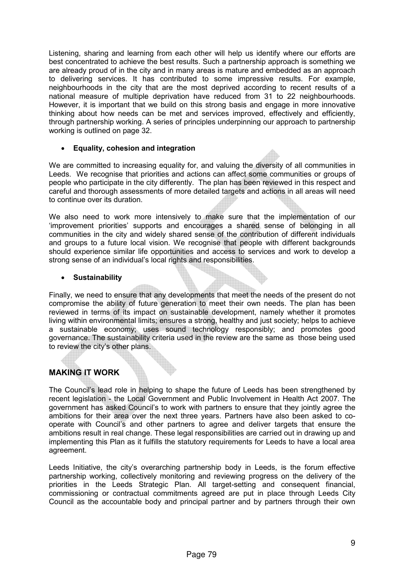Listening, sharing and learning from each other will help us identify where our efforts are best concentrated to achieve the best results. Such a partnership approach is something we are already proud of in the city and in many areas is mature and embedded as an approach to delivering services. It has contributed to some impressive results. For example, neighbourhoods in the city that are the most deprived according to recent results of a national measure of multiple deprivation have reduced from 31 to 22 neighbourhoods. However, it is important that we build on this strong basis and engage in more innovative thinking about how needs can be met and services improved, effectively and efficiently, through partnership working. A series of principles underpinning our approach to partnership working is outlined on page 32.

#### • Equality, cohesion and integration

We are committed to increasing equality for, and valuing the diversity of all communities in Leeds. We recognise that priorities and actions can affect some communities or groups of people who participate in the city differently. The plan has been reviewed in this respect and careful and thorough assessments of more detailed targets and actions in all areas will need to continue over its duration.

We also need to work more intensively to make sure that the implementation of our 'improvement priorities' supports and encourages a shared sense of belonging in all communities in the city and widely shared sense of the contribution of different individuals and groups to a future local vision. We recognise that people with different backgrounds should experience similar life opportunities and access to services and work to develop a strong sense of an individual's local rights and responsibilities.

#### • Sustainability

Finally, we need to ensure that any developments that meet the needs of the present do not compromise the ability of future generation to meet their own needs. The plan has been reviewed in terms of its impact on sustainable development, namely whether it promotes living within environmental limits; ensures a strong, healthy and just society; helps to achieve a sustainable economy; uses sound technology responsibly; and promotes good governance. The sustainability criteria used in the review are the same as those being used to review the city's other plans.

#### MAKING IT WORK

The Council's lead role in helping to shape the future of Leeds has been strengthened by recent legislation - the Local Government and Public Involvement in Health Act 2007. The government has asked Council's to work with partners to ensure that they jointly agree the ambitions for their area over the next three years. Partners have also been asked to cooperate with Council's and other partners to agree and deliver targets that ensure the ambitions result in real change. These legal responsibilities are carried out in drawing up and implementing this Plan as it fulfills the statutory requirements for Leeds to have a local area agreement.

Leeds Initiative, the city's overarching partnership body in Leeds, is the forum effective partnership working, collectively monitoring and reviewing progress on the delivery of the priorities in the Leeds Strategic Plan. All target-setting and consequent financial, commissioning or contractual commitments agreed are put in place through Leeds City Council as the accountable body and principal partner and by partners through their own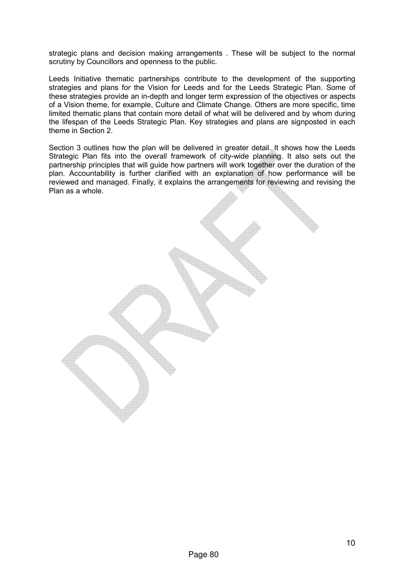strategic plans and decision making arrangements . These will be subject to the normal scrutiny by Councillors and openness to the public.

Leeds Initiative thematic partnerships contribute to the development of the supporting strategies and plans for the Vision for Leeds and for the Leeds Strategic Plan. Some of these strategies provide an in-depth and longer term expression of the objectives or aspects of a Vision theme, for example, Culture and Climate Change. Others are more specific, time limited thematic plans that contain more detail of what will be delivered and by whom during the lifespan of the Leeds Strategic Plan. Key strategies and plans are signposted in each theme in Section 2.

Section 3 outlines how the plan will be delivered in greater detail. It shows how the Leeds Strategic Plan fits into the overall framework of city-wide planning. It also sets out the partnership principles that will guide how partners will work together over the duration of the plan. Accountability is further clarified with an explanation of how performance will be reviewed and managed. Finally, it explains the arrangements for reviewing and revising the Plan as a whole.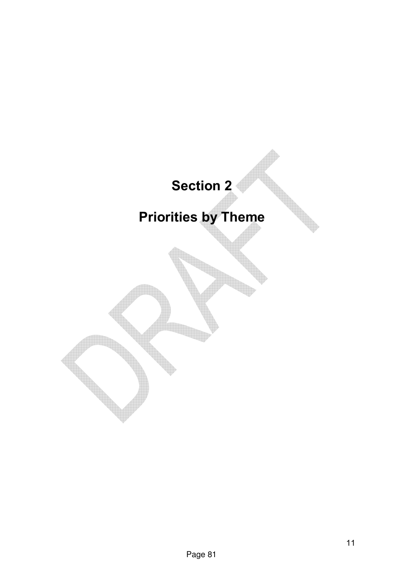### Section 2

### Priorities by Theme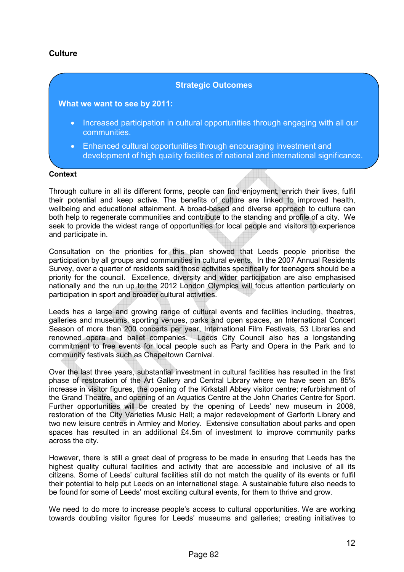#### **Culture**

#### Strategic Outcomes

#### What we want to see by 2011:

- Increased participation in cultural opportunities through engaging with all our communities.
- Enhanced cultural opportunities through encouraging investment and development of high quality facilities of national and international significance.

#### **Context**

Through culture in all its different forms, people can find enjoyment, enrich their lives, fulfil their potential and keep active. The benefits of culture are linked to improved health, wellbeing and educational attainment. A broad-based and diverse approach to culture can both help to regenerate communities and contribute to the standing and profile of a city. We seek to provide the widest range of opportunities for local people and visitors to experience and participate in.

Consultation on the priorities for this plan showed that Leeds people prioritise the participation by all groups and communities in cultural events. In the 2007 Annual Residents Survey, over a quarter of residents said those activities specifically for teenagers should be a priority for the council. Excellence, diversity and wider participation are also emphasised nationally and the run up to the 2012 London Olympics will focus attention particularly on participation in sport and broader cultural activities.

Leeds has a large and growing range of cultural events and facilities including, theatres, galleries and museums, sporting venues, parks and open spaces, an International Concert Season of more than 200 concerts per year, International Film Festivals, 53 Libraries and renowned opera and ballet companies. Leeds City Council also has a longstanding commitment to free events for local people such as Party and Opera in the Park and to community festivals such as Chapeltown Carnival.

Over the last three years, substantial investment in cultural facilities has resulted in the first phase of restoration of the Art Gallery and Central Library where we have seen an 85% increase in visitor figures, the opening of the Kirkstall Abbey visitor centre; refurbishment of the Grand Theatre, and opening of an Aquatics Centre at the John Charles Centre for Sport. Further opportunities will be created by the opening of Leeds' new museum in 2008, restoration of the City Varieties Music Hall; a major redevelopment of Garforth Library and two new leisure centres in Armley and Morley. Extensive consultation about parks and open spaces has resulted in an additional £4.5m of investment to improve community parks across the city.

However, there is still a great deal of progress to be made in ensuring that Leeds has the highest quality cultural facilities and activity that are accessible and inclusive of all its citizens. Some of Leeds' cultural facilities still do not match the quality of its events or fulfil their potential to help put Leeds on an international stage. A sustainable future also needs to be found for some of Leeds' most exciting cultural events, for them to thrive and grow.

We need to do more to increase people's access to cultural opportunities. We are working towards doubling visitor figures for Leeds' museums and galleries; creating initiatives to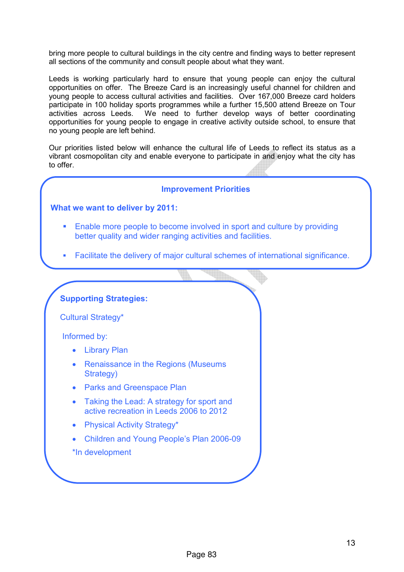bring more people to cultural buildings in the city centre and finding ways to better represent all sections of the community and consult people about what they want.

Leeds is working particularly hard to ensure that young people can enjoy the cultural opportunities on offer. The Breeze Card is an increasingly useful channel for children and young people to access cultural activities and facilities. Over 167,000 Breeze card holders participate in 100 holiday sports programmes while a further 15,500 attend Breeze on Tour activities across Leeds. We need to further develop ways of better coordinating opportunities for young people to engage in creative activity outside school, to ensure that no young people are left behind.

Our priorities listed below will enhance the cultural life of Leeds to reflect its status as a vibrant cosmopolitan city and enable everyone to participate in and enjoy what the city has to offer.

#### Improvement Priorities

#### What we want to deliver by 2011:

- Enable more people to become involved in sport and culture by providing better quality and wider ranging activities and facilities.
- Facilitate the delivery of major cultural schemes of international significance.

#### Supporting Strategies:

Cultural Strategy\*

Informed by:

- Library Plan
- Renaissance in the Regions (Museums Strategy)
- Parks and Greenspace Plan
- Taking the Lead: A strategy for sport and active recreation in Leeds 2006 to 2012
- Physical Activity Strategy\*
- Children and Young People's Plan 2006-09
- \*In development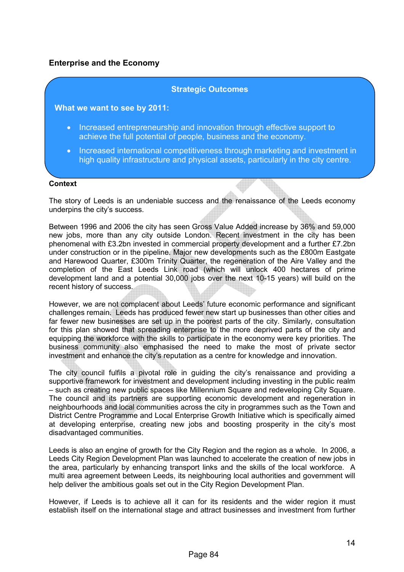#### Enterprise and the Economy

#### Strategic Outcomes

#### What we want to see by 2011:

- Increased entrepreneurship and innovation through effective support to achieve the full potential of people, business and the economy.
- Increased international competitiveness through marketing and investment in high quality infrastructure and physical assets, particularly in the city centre.

#### **Context**

The story of Leeds is an undeniable success and the renaissance of the Leeds economy underpins the city's success.

Between 1996 and 2006 the city has seen Gross Value Added increase by 36% and 59,000 new jobs, more than any city outside London. Recent investment in the city has been phenomenal with £3.2bn invested in commercial property development and a further £7.2bn under construction or in the pipeline. Major new developments such as the £800m Eastgate and Harewood Quarter, £300m Trinity Quarter, the regeneration of the Aire Valley and the completion of the East Leeds Link road (which will unlock 400 hectares of prime development land and a potential 30,000 jobs over the next 10-15 years) will build on the recent history of success.

However, we are not complacent about Leeds' future economic performance and significant challenges remain. Leeds has produced fewer new start up businesses than other cities and far fewer new businesses are set up in the poorest parts of the city. Similarly, consultation for this plan showed that spreading enterprise to the more deprived parts of the city and equipping the workforce with the skills to participate in the economy were key priorities. The business community also emphasised the need to make the most of private sector investment and enhance the city's reputation as a centre for knowledge and innovation.

The city council fulfils a pivotal role in guiding the city's renaissance and providing a supportive framework for investment and development including investing in the public realm – such as creating new public spaces like Millennium Square and redeveloping City Square. The council and its partners are supporting economic development and regeneration in neighbourhoods and local communities across the city in programmes such as the Town and District Centre Programme and Local Enterprise Growth Initiative which is specifically aimed at developing enterprise, creating new jobs and boosting prosperity in the city's most disadvantaged communities.

Leeds is also an engine of growth for the City Region and the region as a whole. In 2006, a Leeds City Region Development Plan was launched to accelerate the creation of new jobs in the area, particularly by enhancing transport links and the skills of the local workforce. A multi area agreement between Leeds, its neighbouring local authorities and government will help deliver the ambitious goals set out in the City Region Development Plan.

However, if Leeds is to achieve all it can for its residents and the wider region it must establish itself on the international stage and attract businesses and investment from further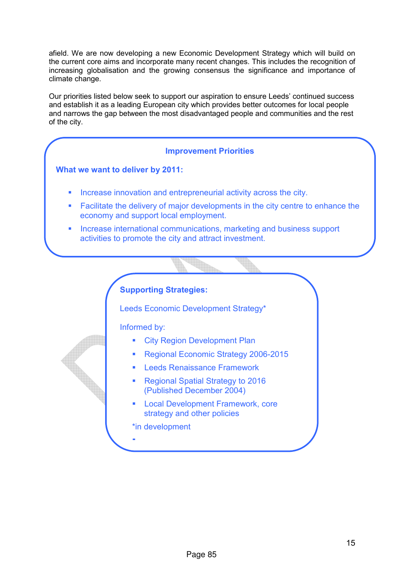afield. We are now developing a new Economic Development Strategy which will build on the current core aims and incorporate many recent changes. This includes the recognition of increasing globalisation and the growing consensus the significance and importance of climate change.

Our priorities listed below seek to support our aspiration to ensure Leeds' continued success and establish it as a leading European city which provides better outcomes for local people and narrows the gap between the most disadvantaged people and communities and the rest of the city.

#### Improvement Priorities

#### What we want to deliver by 2011:

- Increase innovation and entrepreneurial activity across the city.
- **Eacilitate the delivery of major developments in the city centre to enhance the** economy and support local employment.
- **Increase international communications, marketing and business support** activities to promote the city and attract investment.

#### Supporting Strategies:

Leeds Economic Development Strategy\*

Informed by:

- **City Region Development Plan**
- Regional Economic Strategy 2006-2015
- Leeds Renaissance Framework
- Regional Spatial Strategy to 2016 (Published December 2004)
- Local Development Framework, core strategy and other policies

\*in development

§

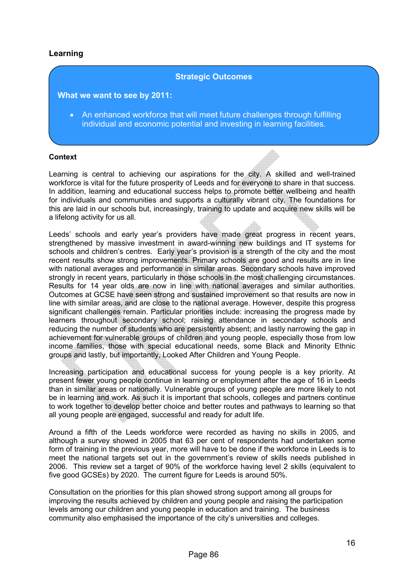#### Learning

#### Strategic Outcomes

What we want to see by 2011:

• An enhanced workforce that will meet future challenges through fulfilling individual and economic potential and investing in learning facilities.

#### Context

Learning is central to achieving our aspirations for the city. A skilled and well-trained workforce is vital for the future prosperity of Leeds and for everyone to share in that success. In addition, learning and educational success helps to promote better wellbeing and health for individuals and communities and supports a culturally vibrant city. The foundations for this are laid in our schools but, increasingly, training to update and acquire new skills will be a lifelong activity for us all.

Leeds' schools and early year's providers have made great progress in recent years, strengthened by massive investment in award-winning new buildings and IT systems for schools and children's centres. Early year's provision is a strength of the city and the most recent results show strong improvements. Primary schools are good and results are in line with national averages and performance in similar areas. Secondary schools have improved strongly in recent years, particularly in those schools in the most challenging circumstances. Results for 14 year olds are now in line with national averages and similar authorities. Outcomes at GCSE have seen strong and sustained improvement so that results are now in line with similar areas, and are close to the national average. However, despite this progress significant challenges remain. Particular priorities include: increasing the progress made by learners throughout secondary school; raising attendance in secondary schools and reducing the number of students who are persistently absent; and lastly narrowing the gap in achievement for vulnerable groups of children and young people, especially those from low income families, those with special educational needs, some Black and Minority Ethnic groups and lastly, but importantly, Looked After Children and Young People.

Increasing participation and educational success for young people is a key priority. At present fewer young people continue in learning or employment after the age of 16 in Leeds than in similar areas or nationally. Vulnerable groups of young people are more likely to not be in learning and work. As such it is important that schools, colleges and partners continue to work together to develop better choice and better routes and pathways to learning so that all young people are engaged, successful and ready for adult life.

Around a fifth of the Leeds workforce were recorded as having no skills in 2005, and although a survey showed in 2005 that 63 per cent of respondents had undertaken some form of training in the previous year, more will have to be done if the workforce in Leeds is to meet the national targets set out in the government's review of skills needs published in 2006. This review set a target of 90% of the workforce having level 2 skills (equivalent to five good GCSEs) by 2020. The current figure for Leeds is around 50%.

Consultation on the priorities for this plan showed strong support among all groups for improving the results achieved by children and young people and raising the participation levels among our children and young people in education and training. The business community also emphasised the importance of the city's universities and colleges.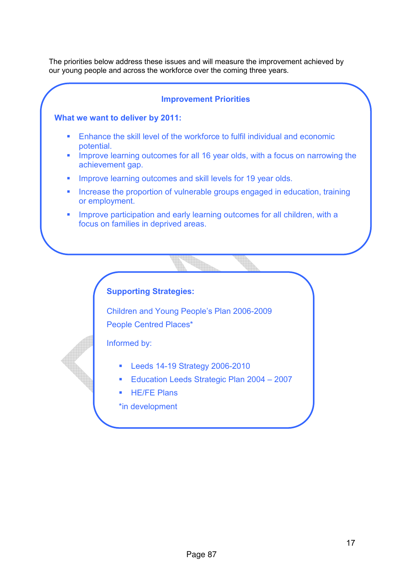The priorities below address these issues and will measure the improvement achieved by our young people and across the workforce over the coming three years.

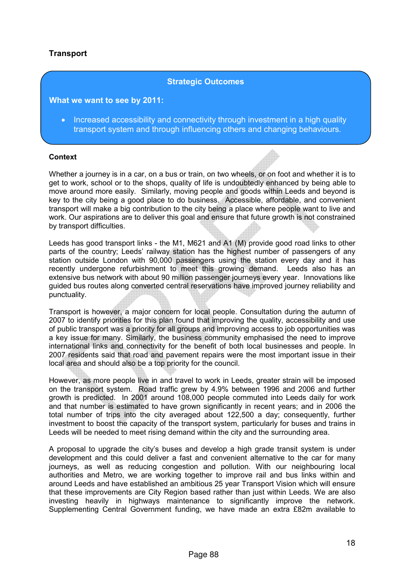#### **Transport**

#### Strategic Outcomes

#### What we want to see by 2011:

• Increased accessibility and connectivity through investment in a high quality transport system and through influencing others and changing behaviours.

#### Context

Whether a journey is in a car, on a bus or train, on two wheels, or on foot and whether it is to get to work, school or to the shops, quality of life is undoubtedly enhanced by being able to move around more easily. Similarly, moving people and goods within Leeds and beyond is key to the city being a good place to do business. Accessible, affordable, and convenient transport will make a big contribution to the city being a place where people want to live and work. Our aspirations are to deliver this goal and ensure that future growth is not constrained by transport difficulties.

Leeds has good transport links - the M1, M621 and A1 (M) provide good road links to other parts of the country; Leeds' railway station has the highest number of passengers of any station outside London with 90,000 passengers using the station every day and it has recently undergone refurbishment to meet this growing demand. Leeds also has an extensive bus network with about 90 million passenger journeys every year. Innovations like guided bus routes along converted central reservations have improved journey reliability and punctuality.

Transport is however, a major concern for local people. Consultation during the autumn of 2007 to identify priorities for this plan found that improving the quality, accessibility and use of public transport was a priority for all groups and improving access to job opportunities was a key issue for many. Similarly, the business community emphasised the need to improve international links and connectivity for the benefit of both local businesses and people. In 2007 residents said that road and pavement repairs were the most important issue in their local area and should also be a top priority for the council.

However, as more people live in and travel to work in Leeds, greater strain will be imposed on the transport system. Road traffic grew by 4.9% between 1996 and 2006 and further growth is predicted. In 2001 around 108,000 people commuted into Leeds daily for work and that number is estimated to have grown significantly in recent years; and in 2006 the total number of trips into the city averaged about 122,500 a day; consequently, further investment to boost the capacity of the transport system, particularly for buses and trains in Leeds will be needed to meet rising demand within the city and the surrounding area.

A proposal to upgrade the city's buses and develop a high grade transit system is under development and this could deliver a fast and convenient alternative to the car for many journeys, as well as reducing congestion and pollution. With our neighbouring local authorities and Metro, we are working together to improve rail and bus links within and around Leeds and have established an ambitious 25 year Transport Vision which will ensure that these improvements are City Region based rather than just within Leeds. We are also investing heavily in highways maintenance to significantly improve the network. Supplementing Central Government funding, we have made an extra £82m available to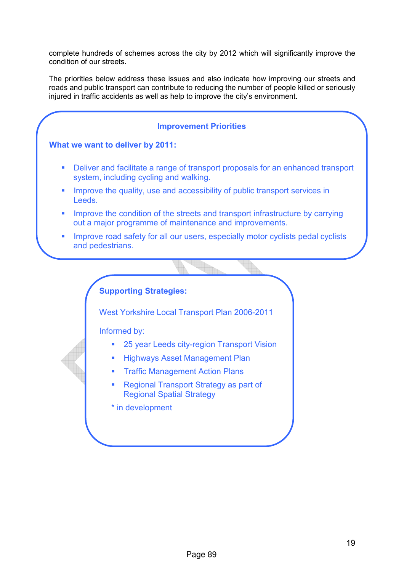complete hundreds of schemes across the city by 2012 which will significantly improve the condition of our streets.

The priorities below address these issues and also indicate how improving our streets and roads and public transport can contribute to reducing the number of people killed or seriously injured in traffic accidents as well as help to improve the city's environment.

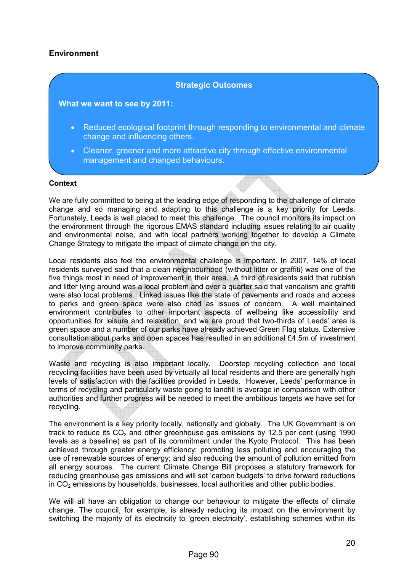#### **Environment**

#### Strategic Outcomes

#### What we want to see by 2011:

- Reduced ecological footprint through responding to environmental and climate change and influencing others.
- Cleaner, greener and more attractive city through effective environmental management and changed behaviours.

#### **Context**

We are fully committed to being at the leading edge of responding to the challenge of climate change and so managing and adapting to this challenge is a key priority for Leeds. Fortunately, Leeds is well placed to meet this challenge. The council monitors its impact on the environment through the rigorous EMAS standard including issues relating to air quality and environmental noise, and with local partners working together to develop a Climate Change Strategy to mitigate the impact of climate change on the city.

Local residents also feel the environmental challenge is important. In 2007, 14% of local residents surveyed said that a clean neighbourhood (without litter or graffiti) was one of the five things most in need of improvement in their area. A third of residents said that rubbish and litter lying around was a local problem and over a quarter said that vandalism and graffiti were also local problems. Linked issues like the state of pavements and roads and access to parks and green space were also cited as issues of concern. A well maintained environment contributes to other important aspects of wellbeing like accessibility and opportunities for leisure and relaxation, and we are proud that two-thirds of Leeds' area is green space and a number of our parks have already achieved Green Flag status. Extensive consultation about parks and open spaces has resulted in an additional £4.5m of investment to improve community parks.

Waste and recycling is also important locally. Doorstep recycling collection and local recycling facilities have been used by virtually all local residents and there are generally high levels of satisfaction with the facilities provided in Leeds. However, Leeds' performance in terms of recycling and particularly waste going to landfill is average in comparison with other authorities and further progress will be needed to meet the ambitious targets we have set for recycling.

The environment is a key priority locally, nationally and globally. The UK Government is on track to reduce its  $CO<sub>2</sub>$  and other greenhouse gas emissions by 12.5 per cent (using 1990 levels as a baseline) as part of its commitment under the Kyoto Protocol. This has been achieved through greater energy efficiency; promoting less polluting and encouraging the use of renewable sources of energy; and also reducing the amount of pollution emitted from all energy sources. The current Climate Change Bill proposes a statutory framework for reducing greenhouse gas emissions and will set 'carbon budgets' to drive forward reductions in  $CO<sub>2</sub>$  emissions by households, businesses, local authorities and other public bodies.

We will all have an obligation to change our behaviour to mitigate the effects of climate change. The council, for example, is already reducing its impact on the environment by switching the majority of its electricity to 'green electricity', establishing schemes within its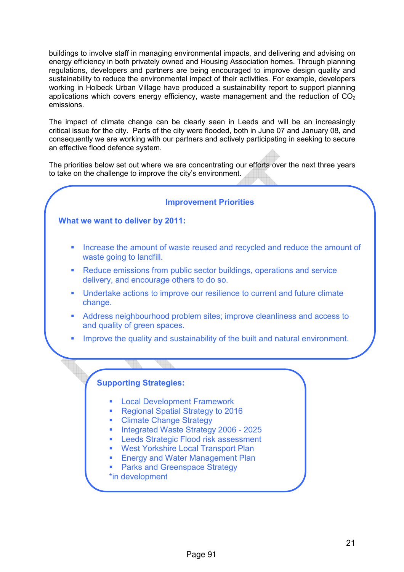buildings to involve staff in managing environmental impacts, and delivering and advising on energy efficiency in both privately owned and Housing Association homes. Through planning regulations, developers and partners are being encouraged to improve design quality and sustainability to reduce the environmental impact of their activities. For example, developers working in Holbeck Urban Village have produced a sustainability report to support planning applications which covers energy efficiency, waste management and the reduction of  $CO<sub>2</sub>$ emissions.

The impact of climate change can be clearly seen in Leeds and will be an increasingly critical issue for the city. Parts of the city were flooded, both in June 07 and January 08, and consequently we are working with our partners and actively participating in seeking to secure an effective flood defence system.

The priorities below set out where we are concentrating our efforts over the next three years to take on the challenge to improve the city's environment.

#### Improvement Priorities

#### What we want to deliver by 2011:

- **EXECT** Increase the amount of waste reused and recycled and reduce the amount of waste going to landfill.
- Reduce emissions from public sector buildings, operations and service delivery, and encourage others to do so.
- **■** Undertake actions to improve our resilience to current and future climate change.
- Address neighbourhood problem sites; improve cleanliness and access to and quality of green spaces.
- Improve the quality and sustainability of the built and natural environment.

#### Supporting Strategies:

- Local Development Framework
- Regional Spatial Strategy to 2016
- Climate Change Strategy
- Integrated Waste Strategy 2006 2025
- Leeds Strategic Flood risk assessment
- West Yorkshire Local Transport Plan
- **Energy and Water Management Plan**
- Parks and Greenspace Strategy
- \*in development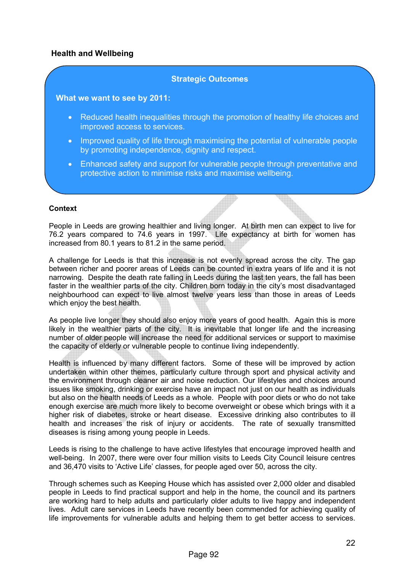#### Health and Wellbeing

#### Strategic Outcomes

#### What we want to see by 2011:

- Reduced health inequalities through the promotion of healthy life choices and improved access to services.
- Improved quality of life through maximising the potential of vulnerable people by promoting independence, dignity and respect.
- Enhanced safety and support for vulnerable people through preventative and protective action to minimise risks and maximise wellbeing.

#### **Context**

People in Leeds are growing healthier and living longer. At birth men can expect to live for 76.2 years compared to 74.6 years in 1997. Life expectancy at birth for women has increased from 80.1 years to 81.2 in the same period.

A challenge for Leeds is that this increase is not evenly spread across the city. The gap between richer and poorer areas of Leeds can be counted in extra years of life and it is not narrowing. Despite the death rate falling in Leeds during the last ten years, the fall has been faster in the wealthier parts of the city. Children born today in the city's most disadvantaged neighbourhood can expect to live almost twelve years less than those in areas of Leeds which enjoy the best health.

As people live longer they should also enjoy more years of good health. Again this is more likely in the wealthier parts of the city. It is inevitable that longer life and the increasing number of older people will increase the need for additional services or support to maximise the capacity of elderly or vulnerable people to continue living independently.

Health is influenced by many different factors. Some of these will be improved by action undertaken within other themes, particularly culture through sport and physical activity and the environment through cleaner air and noise reduction. Our lifestyles and choices around issues like smoking, drinking or exercise have an impact not just on our health as individuals but also on the health needs of Leeds as a whole. People with poor diets or who do not take enough exercise are much more likely to become overweight or obese which brings with it a higher risk of diabetes, stroke or heart disease. Excessive drinking also contributes to ill health and increases the risk of injury or accidents. The rate of sexually transmitted diseases is rising among young people in Leeds.

Leeds is rising to the challenge to have active lifestyles that encourage improved health and well-being. In 2007, there were over four million visits to Leeds City Council leisure centres and 36,470 visits to 'Active Life' classes, for people aged over 50, across the city.

Through schemes such as Keeping House which has assisted over 2,000 older and disabled people in Leeds to find practical support and help in the home, the council and its partners are working hard to help adults and particularly older adults to live happy and independent lives. Adult care services in Leeds have recently been commended for achieving quality of life improvements for vulnerable adults and helping them to get better access to services.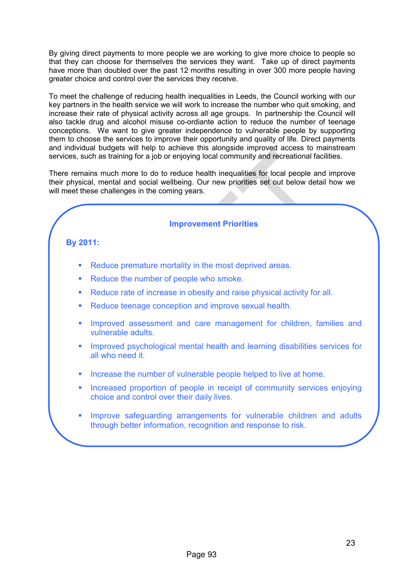By giving direct payments to more people we are working to give more choice to people so that they can choose for themselves the services they want. Take up of direct payments have more than doubled over the past 12 months resulting in over 300 more people having greater choice and control over the services they receive.

To meet the challenge of reducing health inequalities in Leeds, the Council working with our key partners in the health service we will work to increase the number who quit smoking, and increase their rate of physical activity across all age groups. In partnership the Council will also tackle drug and alcohol misuse co-ordiante action to reduce the number of teenage conceptions. We want to give greater independence to vulnerable people by supporting them to choose the services to improve their opportunity and quality of life. Direct payments and individual budgets will help to achieve this alongside improved access to mainstream services, such as training for a job or enjoying local community and recreational facilities.

There remains much more to do to reduce health inequalities for local people and improve their physical, mental and social wellbeing. Our new priorities set out below detail how we will meet these challenges in the coming years.

#### Improvement Priorities

#### By 2011:

- Reduce premature mortality in the most deprived areas.
- Reduce the number of people who smoke.
- Reduce rate of increase in obesity and raise physical activity for all.
- Reduce teenage conception and improve sexual health.
- **■** Improved assessment and care management for children, families and vulnerable adults.
- Improved psychological mental health and learning disabilities services for all who need it.
- Increase the number of vulnerable people helped to live at home.
- Increased proportion of people in receipt of community services enjoying choice and control over their daily lives.
- Improve safeguarding arrangements for vulnerable children and adults through better information, recognition and response to risk.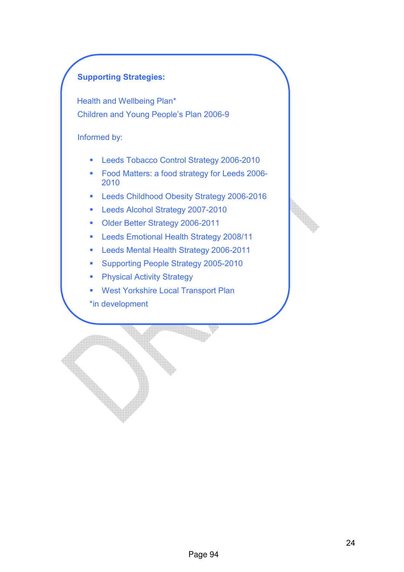#### Supporting Strategies:

Health and Wellbeing Plan\* Children and Young People's Plan 2006-9

#### Informed by:

- Leeds Tobacco Control Strategy 2006-2010
- § Food Matters: a food strategy for Leeds 2006- 2010
- Leeds Childhood Obesity Strategy 2006-2016
- Leeds Alcohol Strategy 2007-2010
- Older Better Strategy 2006-2011
- Leeds Emotional Health Strategy 2008/11
- Leeds Mental Health Strategy 2006-2011
- Supporting People Strategy 2005-2010
- Physical Activity Strategy
- West Yorkshire Local Transport Plan
- \*in development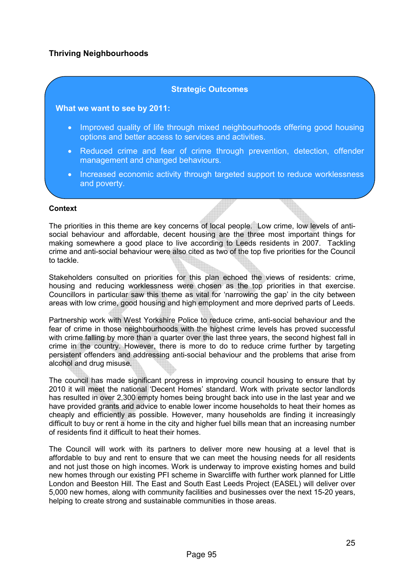#### Thriving Neighbourhoods

#### Strategic Outcomes

#### What we want to see by 2011:

- Improved quality of life through mixed neighbourhoods offering good housing options and better access to services and activities.
- Reduced crime and fear of crime through prevention, detection, offender management and changed behaviours.
- Increased economic activity through targeted support to reduce worklessness and poverty.

#### **Context**

The priorities in this theme are key concerns of local people. Low crime, low levels of antisocial behaviour and affordable, decent housing are the three most important things for making somewhere a good place to live according to Leeds residents in 2007. Tackling crime and anti-social behaviour were also cited as two of the top five priorities for the Council to tackle.

Stakeholders consulted on priorities for this plan echoed the views of residents: crime, housing and reducing worklessness were chosen as the top priorities in that exercise. Councillors in particular saw this theme as vital for 'narrowing the gap' in the city between areas with low crime, good housing and high employment and more deprived parts of Leeds.

Partnership work with West Yorkshire Police to reduce crime, anti-social behaviour and the fear of crime in those neighbourhoods with the highest crime levels has proved successful with crime falling by more than a quarter over the last three years, the second highest fall in crime in the country. However, there is more to do to reduce crime further by targeting persistent offenders and addressing anti-social behaviour and the problems that arise from alcohol and drug misuse.

The council has made significant progress in improving council housing to ensure that by 2010 it will meet the national 'Decent Homes' standard. Work with private sector landlords has resulted in over 2,300 empty homes being brought back into use in the last year and we have provided grants and advice to enable lower income households to heat their homes as cheaply and efficiently as possible. However, many households are finding it increasingly difficult to buy or rent a home in the city and higher fuel bills mean that an increasing number of residents find it difficult to heat their homes.

The Council will work with its partners to deliver more new housing at a level that is affordable to buy and rent to ensure that we can meet the housing needs for all residents and not just those on high incomes. Work is underway to improve existing homes and build new homes through our existing PFI scheme in Swarcliffe with further work planned for Little London and Beeston Hill. The East and South East Leeds Project (EASEL) will deliver over 5,000 new homes, along with community facilities and businesses over the next 15-20 years, helping to create strong and sustainable communities in those areas.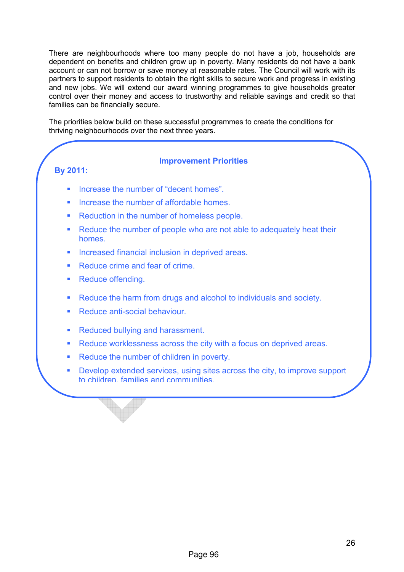There are neighbourhoods where too many people do not have a job, households are dependent on benefits and children grow up in poverty. Many residents do not have a bank account or can not borrow or save money at reasonable rates. The Council will work with its partners to support residents to obtain the right skills to secure work and progress in existing and new jobs. We will extend our award winning programmes to give households greater control over their money and access to trustworthy and reliable savings and credit so that families can be financially secure.

The priorities below build on these successful programmes to create the conditions for thriving neighbourhoods over the next three years.

#### By 2011:

#### Improvement Priorities

- § Increase the number of "decent homes".
- § Increase the number of affordable homes.
- Reduction in the number of homeless people.
- Reduce the number of people who are not able to adequately heat their homes.
- Increased financial inclusion in deprived areas.
- **Seduce crime and fear of crime.**
- Reduce offending.
- Reduce the harm from drugs and alcohol to individuals and society.
- Reduce anti-social behaviour.
- Reduced bullying and harassment.
- Reduce worklessness across the city with a focus on deprived areas.
- Reduce the number of children in poverty.
- Develop extended services, using sites across the city, to improve support to children, families and communities.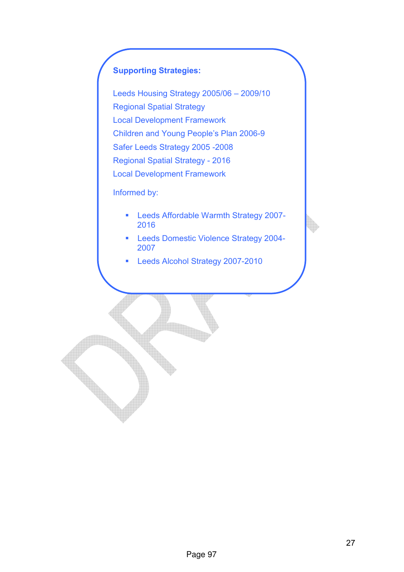#### Supporting Strategies:

Leeds Housing Strategy 2005/06 – 2009/10 Regional Spatial Strategy Local Development Framework Children and Young People's Plan 2006-9 Safer Leeds Strategy 2005 -2008 Regional Spatial Strategy - 2016 Local Development Framework

Informed by:

- Leeds Affordable Warmth Strategy 2007-2016
- **Leeds Domestic Violence Strategy 2004-**2007
- Leeds Alcohol Strategy 2007-2010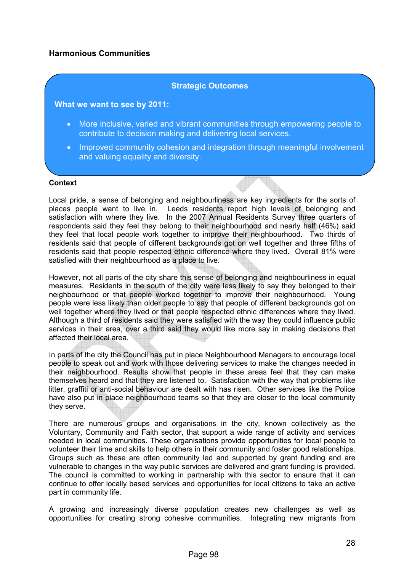#### Harmonious Communities

#### Strategic Outcomes

#### What we want to see by 2011:

- More inclusive, varied and vibrant communities through empowering people to contribute to decision making and delivering local services.
- Improved community cohesion and integration through meaningful involvement and valuing equality and diversity.

#### **Context**

Local pride, a sense of belonging and neighbourliness are key ingredients for the sorts of places people want to live in. Leeds residents report high levels of belonging and satisfaction with where they live. In the 2007 Annual Residents Survey three quarters of respondents said they feel they belong to their neighbourhood and nearly half (46%) said they feel that local people work together to improve their neighbourhood. Two thirds of residents said that people of different backgrounds got on well together and three fifths of residents said that people respected ethnic difference where they lived. Overall 81% were satisfied with their neighbourhood as a place to live.

However, not all parts of the city share this sense of belonging and neighbourliness in equal measures. Residents in the south of the city were less likely to say they belonged to their neighbourhood or that people worked together to improve their neighbourhood. Young people were less likely than older people to say that people of different backgrounds got on well together where they lived or that people respected ethnic differences where they lived. Although a third of residents said they were satisfied with the way they could influence public services in their area, over a third said they would like more say in making decisions that affected their local area.

In parts of the city the Council has put in place Neighbourhood Managers to encourage local people to speak out and work with those delivering services to make the changes needed in their neighbourhood. Results show that people in these areas feel that they can make themselves heard and that they are listened to. Satisfaction with the way that problems like litter, graffiti or anti-social behaviour are dealt with has risen. Other services like the Police have also put in place neighbourhood teams so that they are closer to the local community they serve.

There are numerous groups and organisations in the city, known collectively as the Voluntary, Community and Faith sector, that support a wide range of activity and services needed in local communities. These organisations provide opportunities for local people to volunteer their time and skills to help others in their community and foster good relationships. Groups such as these are often community led and supported by grant funding and are vulnerable to changes in the way public services are delivered and grant funding is provided. The council is committed to working in partnership with this sector to ensure that it can continue to offer locally based services and opportunities for local citizens to take an active part in community life.

A growing and increasingly diverse population creates new challenges as well as opportunities for creating strong cohesive communities. Integrating new migrants from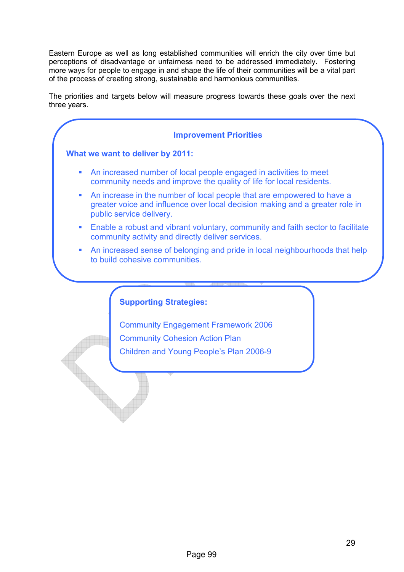Eastern Europe as well as long established communities will enrich the city over time but perceptions of disadvantage or unfairness need to be addressed immediately. Fostering more ways for people to engage in and shape the life of their communities will be a vital part of the process of creating strong, sustainable and harmonious communities.

The priorities and targets below will measure progress towards these goals over the next three years.

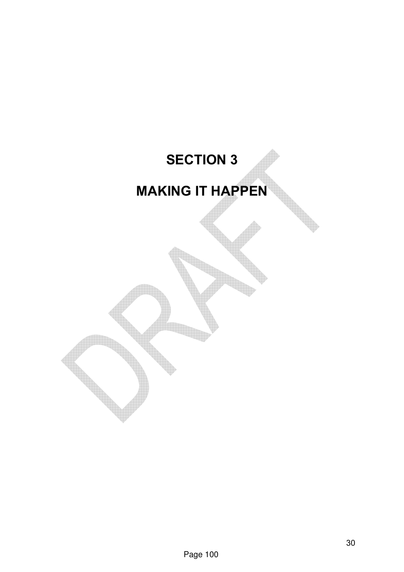## SECTION 3 MAKING IT HAPPEN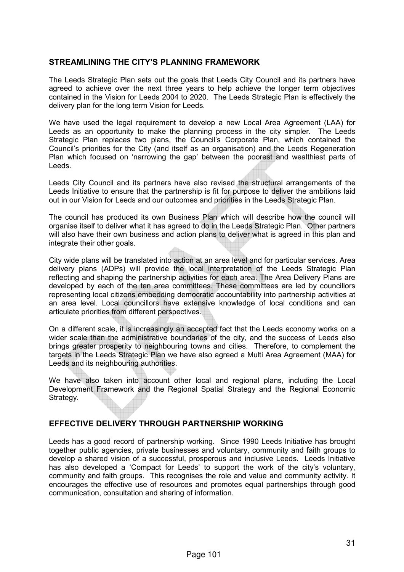#### STREAMLINING THE CITY'S PLANNING FRAMEWORK

The Leeds Strategic Plan sets out the goals that Leeds City Council and its partners have agreed to achieve over the next three years to help achieve the longer term objectives contained in the Vision for Leeds 2004 to 2020. The Leeds Strategic Plan is effectively the delivery plan for the long term Vision for Leeds.

We have used the legal requirement to develop a new Local Area Agreement (LAA) for Leeds as an opportunity to make the planning process in the city simpler. The Leeds Strategic Plan replaces two plans, the Council's Corporate Plan, which contained the Council's priorities for the City (and itself as an organisation) and the Leeds Regeneration Plan which focused on 'narrowing the gap' between the poorest and wealthiest parts of Leeds.

Leeds City Council and its partners have also revised the structural arrangements of the Leeds Initiative to ensure that the partnership is fit for purpose to deliver the ambitions laid out in our Vision for Leeds and our outcomes and priorities in the Leeds Strategic Plan.

The council has produced its own Business Plan which will describe how the council will organise itself to deliver what it has agreed to do in the Leeds Strategic Plan. Other partners will also have their own business and action plans to deliver what is agreed in this plan and integrate their other goals.

City wide plans will be translated into action at an area level and for particular services. Area delivery plans (ADPs) will provide the local interpretation of the Leeds Strategic Plan reflecting and shaping the partnership activities for each area. The Area Delivery Plans are developed by each of the ten area committees. These committees are led by councillors representing local citizens embedding democratic accountability into partnership activities at an area level. Local councillors have extensive knowledge of local conditions and can articulate priorities from different perspectives.

On a different scale, it is increasingly an accepted fact that the Leeds economy works on a wider scale than the administrative boundaries of the city, and the success of Leeds also brings greater prosperity to neighbouring towns and cities. Therefore, to complement the targets in the Leeds Strategic Plan we have also agreed a Multi Area Agreement (MAA) for Leeds and its neighbouring authorities.

We have also taken into account other local and regional plans, including the Local Development Framework and the Regional Spatial Strategy and the Regional Economic Strategy.

#### EFFECTIVE DELIVERY THROUGH PARTNERSHIP WORKING

Leeds has a good record of partnership working. Since 1990 Leeds Initiative has brought together public agencies, private businesses and voluntary, community and faith groups to develop a shared vision of a successful, prosperous and inclusive Leeds. Leeds Initiative has also developed a 'Compact for Leeds' to support the work of the city's voluntary, community and faith groups. This recognises the role and value and community activity. It encourages the effective use of resources and promotes equal partnerships through good communication, consultation and sharing of information.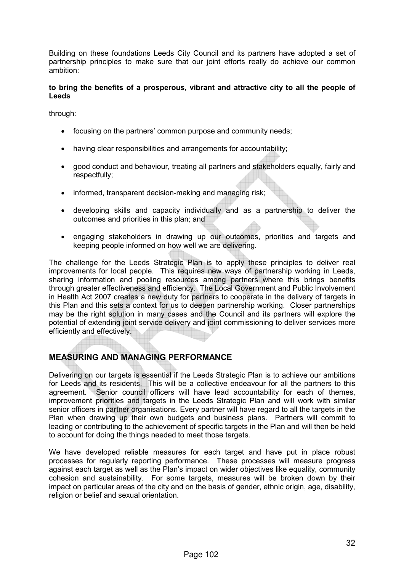Building on these foundations Leeds City Council and its partners have adopted a set of partnership principles to make sure that our joint efforts really do achieve our common ambition:

#### to bring the benefits of a prosperous, vibrant and attractive city to all the people of Leeds

through:

- focusing on the partners' common purpose and community needs;
- having clear responsibilities and arrangements for accountability;
- good conduct and behaviour, treating all partners and stakeholders equally, fairly and respectfully;
- informed, transparent decision-making and managing risk;
- developing skills and capacity individually and as a partnership to deliver the outcomes and priorities in this plan; and
- engaging stakeholders in drawing up our outcomes, priorities and targets and keeping people informed on how well we are delivering.

The challenge for the Leeds Strategic Plan is to apply these principles to deliver real improvements for local people. This requires new ways of partnership working in Leeds, sharing information and pooling resources among partners where this brings benefits through greater effectiveness and efficiency. The Local Government and Public Involvement in Health Act 2007 creates a new duty for partners to cooperate in the delivery of targets in this Plan and this sets a context for us to deepen partnership working. Closer partnerships may be the right solution in many cases and the Council and its partners will explore the potential of extending joint service delivery and joint commissioning to deliver services more efficiently and effectively.

#### MEASURING AND MANAGING PERFORMANCE

Delivering on our targets is essential if the Leeds Strategic Plan is to achieve our ambitions for Leeds and its residents. This will be a collective endeavour for all the partners to this agreement. Senior council officers will have lead accountability for each of themes, improvement priorities and targets in the Leeds Strategic Plan and will work with similar senior officers in partner organisations. Every partner will have regard to all the targets in the Plan when drawing up their own budgets and business plans. Partners will commit to leading or contributing to the achievement of specific targets in the Plan and will then be held to account for doing the things needed to meet those targets.

We have developed reliable measures for each target and have put in place robust processes for regularly reporting performance. These processes will measure progress against each target as well as the Plan's impact on wider objectives like equality, community cohesion and sustainability. For some targets, measures will be broken down by their impact on particular areas of the city and on the basis of gender, ethnic origin, age, disability, religion or belief and sexual orientation.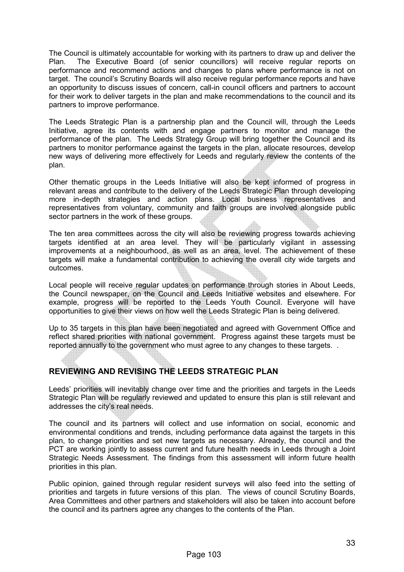The Council is ultimately accountable for working with its partners to draw up and deliver the Plan. The Executive Board (of senior councillors) will receive regular reports on performance and recommend actions and changes to plans where performance is not on target. The council's Scrutiny Boards will also receive regular performance reports and have an opportunity to discuss issues of concern, call-in council officers and partners to account for their work to deliver targets in the plan and make recommendations to the council and its partners to improve performance.

The Leeds Strategic Plan is a partnership plan and the Council will, through the Leeds Initiative, agree its contents with and engage partners to monitor and manage the performance of the plan. The Leeds Strategy Group will bring together the Council and its partners to monitor performance against the targets in the plan, allocate resources, develop new ways of delivering more effectively for Leeds and regularly review the contents of the plan.

Other thematic groups in the Leeds Initiative will also be kept informed of progress in relevant areas and contribute to the delivery of the Leeds Strategic Plan through developing more in-depth strategies and action plans. Local business representatives and representatives from voluntary, community and faith groups are involved alongside public sector partners in the work of these groups.

The ten area committees across the city will also be reviewing progress towards achieving targets identified at an area level. They will be particularly vigilant in assessing improvements at a neighbourhood, as well as an area, level. The achievement of these targets will make a fundamental contribution to achieving the overall city wide targets and outcomes.

Local people will receive regular updates on performance through stories in About Leeds, the Council newspaper, on the Council and Leeds Initiative websites and elsewhere. For example, progress will be reported to the Leeds Youth Council. Everyone will have opportunities to give their views on how well the Leeds Strategic Plan is being delivered.

Up to 35 targets in this plan have been negotiated and agreed with Government Office and reflect shared priorities with national government. Progress against these targets must be reported annually to the government who must agree to any changes to these targets. .

#### REVIEWING AND REVISING THE LEEDS STRATEGIC PLAN

Leeds' priorities will inevitably change over time and the priorities and targets in the Leeds Strategic Plan will be regularly reviewed and updated to ensure this plan is still relevant and addresses the city's real needs.

The council and its partners will collect and use information on social, economic and environmental conditions and trends, including performance data against the targets in this plan, to change priorities and set new targets as necessary. Already, the council and the PCT are working jointly to assess current and future health needs in Leeds through a Joint Strategic Needs Assessment. The findings from this assessment will inform future health priorities in this plan.

Public opinion, gained through regular resident surveys will also feed into the setting of priorities and targets in future versions of this plan. The views of council Scrutiny Boards, Area Committees and other partners and stakeholders will also be taken into account before the council and its partners agree any changes to the contents of the Plan.